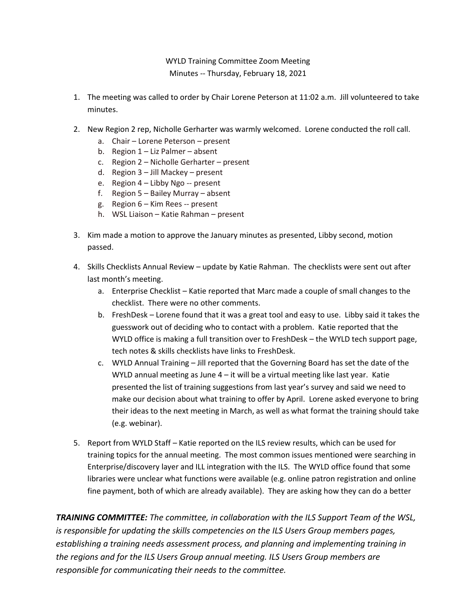WYLD Training Committee Zoom Meeting Minutes -- Thursday, February 18, 2021

- 1. The meeting was called to order by Chair Lorene Peterson at 11:02 a.m. Jill volunteered to take minutes.
- 2. New Region 2 rep, Nicholle Gerharter was warmly welcomed. Lorene conducted the roll call.
	- a. Chair Lorene Peterson present
	- b. Region 1 Liz Palmer absent
	- c. Region 2 Nicholle Gerharter present
	- d. Region 3 Jill Mackey present
	- e. Region 4 Libby Ngo -- present
	- f. Region 5 Bailey Murray absent
	- g. Region 6 Kim Rees -- present
	- h. WSL Liaison Katie Rahman present
- 3. Kim made a motion to approve the January minutes as presented, Libby second, motion passed.
- 4. Skills Checklists Annual Review update by Katie Rahman. The checklists were sent out after last month's meeting.
	- a. Enterprise Checklist Katie reported that Marc made a couple of small changes to the checklist. There were no other comments.
	- b. FreshDesk Lorene found that it was a great tool and easy to use. Libby said it takes the guesswork out of deciding who to contact with a problem. Katie reported that the WYLD office is making a full transition over to FreshDesk – the WYLD tech support page, tech notes & skills checklists have links to FreshDesk.
	- c. WYLD Annual Training Jill reported that the Governing Board has set the date of the WYLD annual meeting as June  $4 - it$  will be a virtual meeting like last year. Katie presented the list of training suggestions from last year's survey and said we need to make our decision about what training to offer by April. Lorene asked everyone to bring their ideas to the next meeting in March, as well as what format the training should take (e.g. webinar).
- 5. Report from WYLD Staff Katie reported on the ILS review results, which can be used for training topics for the annual meeting. The most common issues mentioned were searching in Enterprise/discovery layer and ILL integration with the ILS. The WYLD office found that some libraries were unclear what functions were available (e.g. online patron registration and online fine payment, both of which are already available). They are asking how they can do a better

*TRAINING COMMITTEE: The committee, in collaboration with the ILS Support Team of the WSL, is responsible for updating the skills competencies on the ILS Users Group members pages, establishing a training needs assessment process, and planning and implementing training in the regions and for the ILS Users Group annual meeting. ILS Users Group members are responsible for communicating their needs to the committee.*